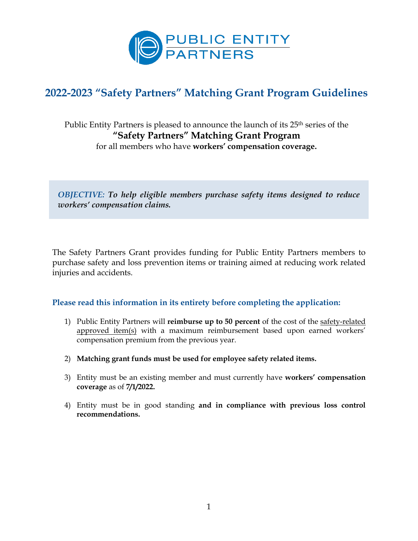

# **2022-2023 "Safety Partners" Matching Grant Program Guidelines**

Public Entity Partners is pleased to announce the launch of its 25<sup>th</sup> series of the **"Safety Partners" Matching Grant Program** for all members who have **workers' compensation coverage.**

*OBJECTIVE: To help eligible members purchase safety items designed to reduce workers' compensation claims.* 

The Safety Partners Grant provides funding for Public Entity Partners members to purchase safety and loss prevention items or training aimed at reducing work related injuries and accidents.

#### **Please read this information in its entirety before completing the application:**

- 1) Public Entity Partners will **reimburse up to 50 percent** of the cost of the safety-related approved item(s) with a maximum reimbursement based upon earned workers' compensation premium from the previous year.
- 2) **Matching grant funds must be used for employee safety related items.**
- 3) Entity must be an existing member and must currently have **workers' compensation coverage** as of **7/1/2022.**
- 4) Entity must be in good standing **and in compliance with previous loss control recommendations.**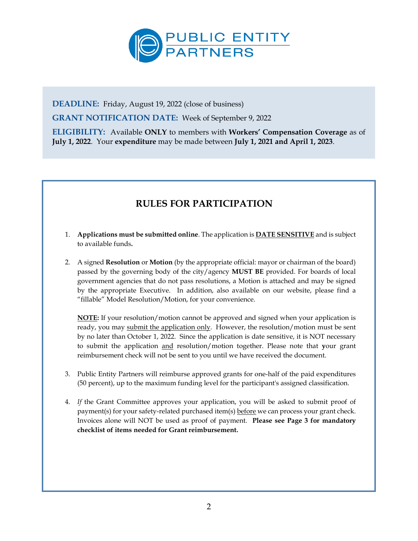

**DEADLINE:** Friday, August 19, 2022 (close of business)

**GRANT NOTIFICATION DATE:** Week of September 9, 2022

**ELIGIBILITY:** Available **ONLY** to members with **Workers' Compensation Coverage** as of **July 1, 2022**. Your **expenditure** may be made between **July 1, 2021 and April 1, 2023**.

## **RULES FOR PARTICIPATION**

- 1. **Applications must be submitted online**. The application is **DATE SENSITIVE** and is subject to available funds**.**
- 2. A signed **Resolution** or **Motion** (by the appropriate official: mayor or chairman of the board) passed by the governing body of the city/agency **MUST BE** provided. For boards of local government agencies that do not pass resolutions, a Motion is attached and may be signed by the appropriate Executive. In addition, also available on our website, please find a "fillable" Model Resolution/Motion, for your convenience.

**NOTE:** If your resolution/motion cannot be approved and signed when your application is ready, you may submit the application only. However, the resolution/motion must be sent by no later than October 1, 2022. Since the application is date sensitive, it is NOT necessary to submit the application and resolution/motion together. Please note that **y**our grant reimbursement check will not be sent to you until we have received the document.

- 3. Public Entity Partners will reimburse approved grants for one-half of the paid expenditures (50 percent), up to the maximum funding level for the participant's assigned classification.
- 4. *If* the Grant Committee approves your application, you will be asked to submit proof of payment(s) for your safety-related purchased item(s) before we can process your grant check. Invoices alone will NOT be used as proof of payment. **Please see Page 3 for mandatory checklist of items needed for Grant reimbursement.**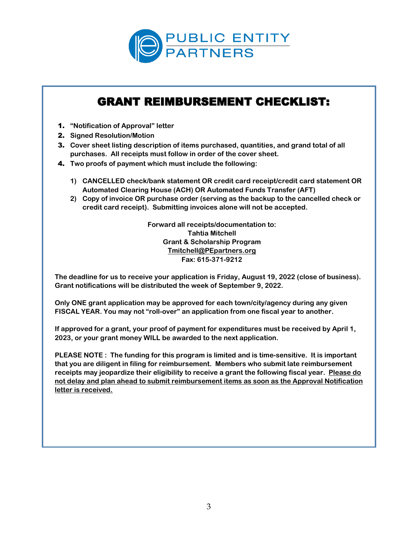

# GRANT REIMBURSEMENT CHECKLIST:

- 1. **"Notification of Approval" letter**
- 2. **Signed Resolution/Motion**
- 3. **Cover sheet listing description of items purchased, quantities, and grand total of all purchases. All receipts must follow in order of the cover sheet.**
- 4. **Two proofs of payment which must include the following:**
	- **1) CANCELLED check/bank statement OR credit card receipt/credit card statement OR Automated Clearing House (ACH) OR Automated Funds Transfer (AFT)**
	- **2) Copy of invoice OR purchase order (serving as the backup to the cancelled check or credit card receipt). Submitting invoices alone will not be accepted.**

**Forward all receipts/documentation to: Tahtia Mitchell Grant & Scholarship Program [Tmitchell@PEpartners.org](mailto:Tmitchell@PEpartners.org) Fax: 615-371-9212**

**The deadline for us to receive your application is Friday, August 19, 2022 (close of business). Grant notifications will be distributed the week of September 9, 2022.**

**Only ONE grant application may be approved for each town/city/agency during any given FISCAL YEAR. You may not "roll-over" an application from one fiscal year to another.** 

**If approved for a grant, your proof of payment for expenditures must be received by April 1, 2023, or your grant money WILL be awarded to the next application.** 

**PLEASE NOTE : The funding for this program is limited and is time-sensitive. It is important that you are diligent in filing for reimbursement. Members who submit late reimbursement receipts may jeopardize their eligibility to receive a grant the following fiscal year. Please do not delay and plan ahead to submit reimbursement items as soon as the Approval Notification letter is received.**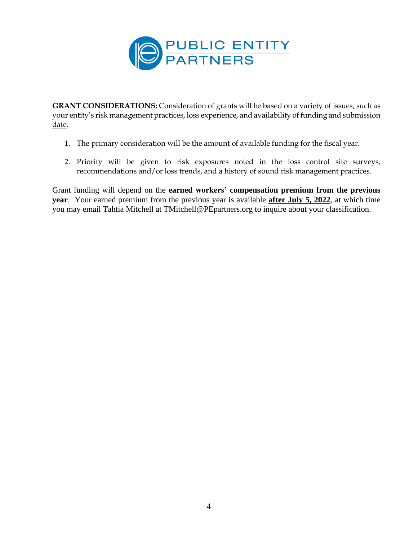

**GRANT CONSIDERATIONS:** Consideration of grants will be based on a variety of issues, such as your entity's risk management practices, loss experience, and availability of funding and submission date.

- 1. The primary consideration will be the amount of available funding for the fiscal year.
- 2. Priority will be given to risk exposures noted in the loss control site surveys, recommendations and/or loss trends, and a history of sound risk management practices.

Grant funding will depend on the **earned workers' compensation premium from the previous year**. Your earned premium from the previous year is available **after July 5, 2022**, at which time you may email Tahtia Mitchell at [TMitchell@PEpartners.org](mailto:TMitchell@PEpartners.org) to inquire about your classification.